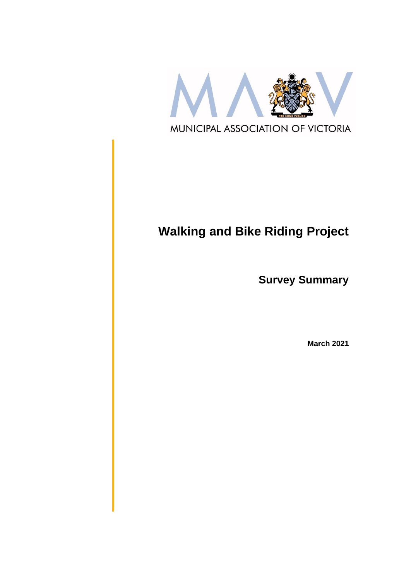

# **Walking and Bike Riding Project**

**Survey Summary**

**March 2021**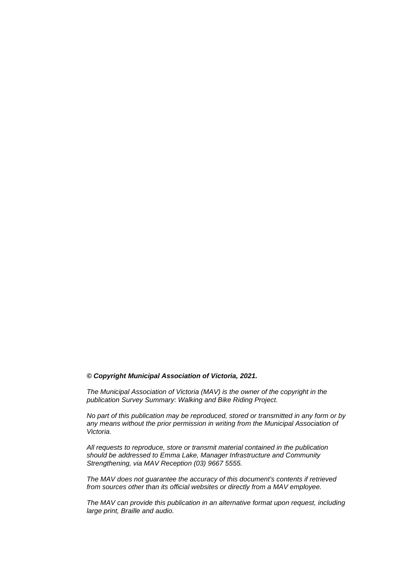#### *© Copyright Municipal Association of Victoria, 2021.*

*The Municipal Association of Victoria (MAV) is the owner of the copyright in the publication Survey Summary: Walking and Bike Riding Project.* 

*No part of this publication may be reproduced, stored or transmitted in any form or by any means without the prior permission in writing from the Municipal Association of Victoria.* 

*All requests to reproduce, store or transmit material contained in the publication should be addressed to Emma Lake, Manager Infrastructure and Community Strengthening, via MAV Reception (03) 9667 5555.*

*The MAV does not guarantee the accuracy of this document's contents if retrieved from sources other than its official websites or directly from a MAV employee.*

*The MAV can provide this publication in an alternative format upon request, including large print, Braille and audio.*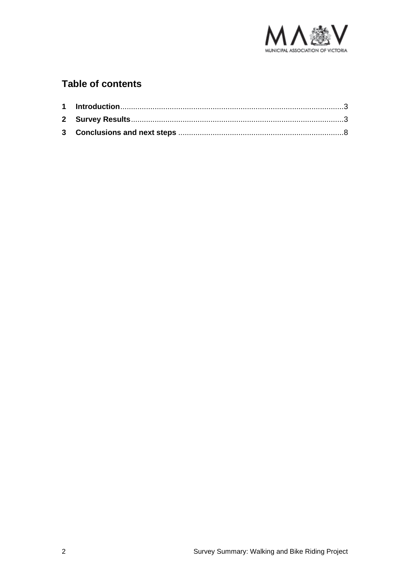

## **Table of contents**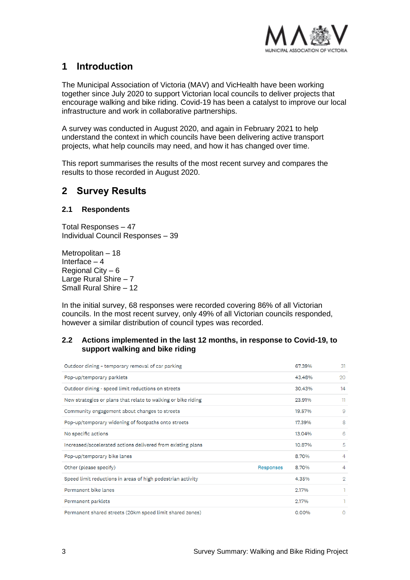

## <span id="page-3-0"></span>**1 Introduction**

The Municipal Association of Victoria (MAV) and VicHealth have been working together since July 2020 to support Victorian local councils to deliver projects that encourage walking and bike riding. Covid-19 has been a catalyst to improve our local infrastructure and work in collaborative partnerships.

A survey was conducted in August 2020, and again in February 2021 to help understand the context in which councils have been delivering active transport projects, what help councils may need, and how it has changed over time.

This report summarises the results of the most recent survey and compares the results to those recorded in August 2020.

## <span id="page-3-1"></span>**2 Survey Results**

#### **2.1 Respondents**

Total Responses – 47 Individual Council Responses – 39

Metropolitan – 18 Interface – 4 Regional City – 6 Large Rural Shire – 7 Small Rural Shire – 12

In the initial survey, 68 responses were recorded covering 86% of all Victorian councils. In the most recent survey, only 49% of all Victorian councils responded, however a similar distribution of council types was recorded.

#### **2.2 Actions implemented in the last 12 months, in response to Covid-19, to support walking and bike riding**

| Outdoor dining - temporary removal of car parking             |           | 67.39% | 31            |
|---------------------------------------------------------------|-----------|--------|---------------|
| Pop-up/temporary parklets                                     |           | 43.48% | 20            |
| Outdoor dining - speed limit reductions on streets            |           | 30.43% | 14            |
| New strategies or plans that relate to walking or bike riding |           | 23.91% | 11            |
| Community engagement about changes to streets                 |           | 19.57% | 9             |
| Pop-up/temporary widening of footpaths onto streets           |           | 17.39% | 8             |
| No specific actions                                           |           | 13.04% | 6             |
| Increased/accelerated actions delivered from existing plans   |           | 10.87% | 5             |
| Pop-up/temporary bike lanes                                   |           | 8.70%  | 4             |
| Other (please specify)                                        | Responses | 8.70%  | 4             |
| Speed limit reductions in areas of high pedestrian activity   |           | 4.35%  | $\mathcal{D}$ |
| Permanent bike lanes                                          |           | 2.17%  | 1             |
| Permanent parklets                                            |           | 2.17%  | 1             |
| Permanent shared streets (20km speed limit shared zones)      |           | 0.00%  | O             |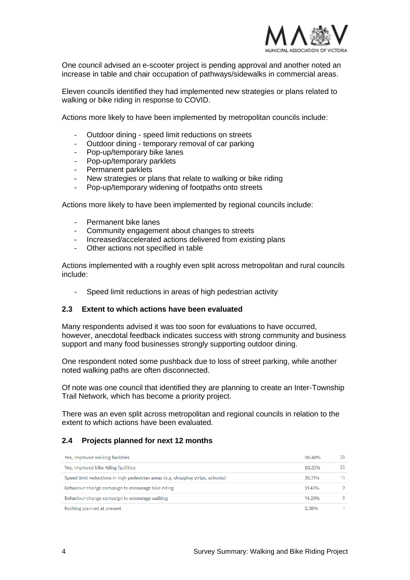

One council advised an e-scooter project is pending approval and another noted an increase in table and chair occupation of pathways/sidewalks in commercial areas.

Eleven councils identified they had implemented new strategies or plans related to walking or bike riding in response to COVID.

Actions more likely to have been implemented by metropolitan councils include:

- Outdoor dining speed limit reductions on streets
- Outdoor dining temporary removal of car parking
- Pop-up/temporary bike lanes
- Pop-up/temporary parklets
- Permanent parklets
- New strategies or plans that relate to walking or bike riding
- Pop-up/temporary widening of footpaths onto streets

Actions more likely to have been implemented by regional councils include:

- Permanent bike lanes
- Community engagement about changes to streets
- Increased/accelerated actions delivered from existing plans
- Other actions not specified in table

Actions implemented with a roughly even split across metropolitan and rural councils include:

Speed limit reductions in areas of high pedestrian activity

#### **2.3 Extent to which actions have been evaluated**

Many respondents advised it was too soon for evaluations to have occurred, however, anecdotal feedback indicates success with strong community and business support and many food businesses strongly supporting outdoor dining.

One respondent noted some pushback due to loss of street parking, while another noted walking paths are often disconnected.

Of note was one council that identified they are planning to create an Inter-Township Trail Network, which has become a priority project.

There was an even split across metropolitan and regional councils in relation to the extent to which actions have been evaluated.

#### **2.4 Projects planned for next 12 months**

| Yes, improved walking facilities                                                | 90.48% | 38 |
|---------------------------------------------------------------------------------|--------|----|
| Yes, improved bike riding facilities                                            | 83.33% | 35 |
| Speed limit reductions in high pedestrian areas (e.g. shopping strips, schools) | 35.71% | 15 |
| Behaviour change campaign to encourage bike riding                              | 21.43% | 9  |
| Behaviour change campaign to encourage walking                                  | 14.29% | 6  |
| Nothing planned at present                                                      | 2.38%  |    |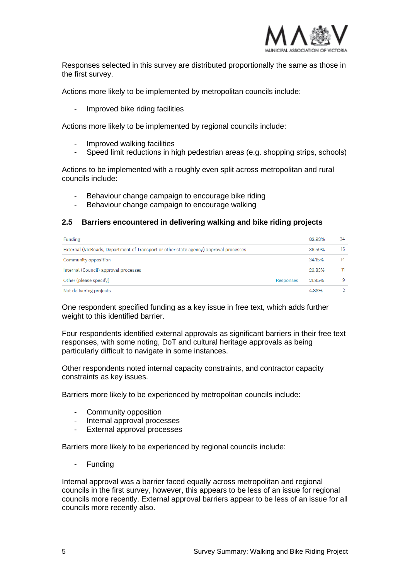

Responses selected in this survey are distributed proportionally the same as those in the first survey.

Actions more likely to be implemented by metropolitan councils include:

Improved bike riding facilities

Actions more likely to be implemented by regional councils include:

- Improved walking facilities
- Speed limit reductions in high pedestrian areas (e.g. shopping strips, schools)

Actions to be implemented with a roughly even split across metropolitan and rural councils include:

- Behaviour change campaign to encourage bike riding
- Behaviour change campaign to encourage walking

#### **2.5 Barriers encountered in delivering walking and bike riding projects**

| Funding                                                                               | 82.93%              | 34  |
|---------------------------------------------------------------------------------------|---------------------|-----|
| External (VicRoads, Department of Transport or other state agency) approval processes | 36.59%              | 15  |
| Community opposition                                                                  | 34.15%              | 14  |
| Internal (Council) approval processes                                                 | 26.83%              | 11. |
| Other (please specify)                                                                | 21.95%<br>Responses | a   |
| Not delivering projects                                                               | 4.88%               |     |

One respondent specified funding as a key issue in free text, which adds further weight to this identified barrier.

Four respondents identified external approvals as significant barriers in their free text responses, with some noting, DoT and cultural heritage approvals as being particularly difficult to navigate in some instances.

Other respondents noted internal capacity constraints, and contractor capacity constraints as key issues.

Barriers more likely to be experienced by metropolitan councils include:

- Community opposition
- Internal approval processes
- External approval processes

Barriers more likely to be experienced by regional councils include:

**Funding** 

Internal approval was a barrier faced equally across metropolitan and regional councils in the first survey, however, this appears to be less of an issue for regional councils more recently. External approval barriers appear to be less of an issue for all councils more recently also.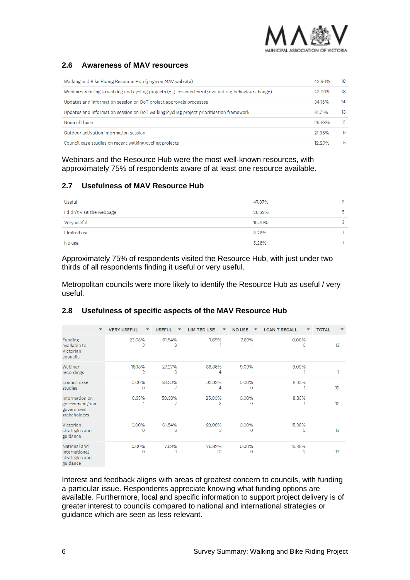

### **2.6 Awareness of MAV resources**

| Walking and Bike Riding Resource Hub (page on MAV website)                                            | 43.90% | 18 |
|-------------------------------------------------------------------------------------------------------|--------|----|
| Webinars relating to walking and cycling projects (e.g. lessons learnt; evaluation; behaviour change) | 43.90% | 18 |
| Updates and information session on DoT project approvals processes                                    | 34.15% | 14 |
| Updates and information session on DoT walking/cycling project prioritisation framework               | 31.71% | 13 |
| None of these                                                                                         | 26.83% | 11 |
| Outdoor activation information session                                                                | 21.95% | -9 |
| Council case studies on recent walking/cycling projects                                               | 12.20% | 5  |

Webinars and the Resource Hub were the most well-known resources, with approximately 75% of respondents aware of at least one resource available.

#### **2.7 Usefulness of MAV Resource Hub**

| <b>Useful</b>              | 47.37% | -9 |
|----------------------------|--------|----|
| I didn't visit the webpage | 26.32% | 5  |
| Very useful                | 15.79% | 3  |
| Limited use                | 5.26%  |    |
| No use                     | 5.26%  |    |

Approximately 75% of respondents visited the Resource Hub, with just under two thirds of all respondents finding it useful or very useful.

Metropolitan councils were more likely to identify the Resource Hub as useful / very useful.

#### **VERY USEFUL** USEFUL  $\blacktriangledown$ LIMITED USE NO USE Y I CAN'T RECALL  $\mathbf{v}^{\top}$ **TOTAL**  $\overline{\mathbf{v}}$  $\overline{\mathbf{v}}$ Y Funding 23.08% 61.54% 7.69% 7.69% 0.00%  $12$ available to  $\mathbf{R}$  $\Omega$ ß Victorian councils Webinar 18.18% 27.27% 36.36% 9.09% 9.09%  $\overline{\mathbf{1}}$ recordings  $\circ$ Council case 0.00% 58.33% 33.33% 0.00% 8.33%  $19$ studies  $\Omega$  $\Omega$ Information on 8.33% 58.33% 25.00% 0.00% 8.33% government/non- $19$ 3  $\Omega$ government stakeholders Victorian 0.00% 61.54% 23.08% 0.00% 15.38% strategies and 13  $\Omega$ 8  $\Omega$  $\circ$ guidance National and 0.00% 7.69% 76.92% 0.00% 15.38%  $13$ international  $\Omega$  $10$ ō  $\Omega$ strategies and guidance

#### **2.8 Usefulness of specific aspects of the MAV Resource Hub**

Interest and feedback aligns with areas of greatest concern to councils, with funding a particular issue. Respondents appreciate knowing what funding options are available. Furthermore, local and specific information to support project delivery is of greater interest to councils compared to national and international strategies or guidance which are seen as less relevant.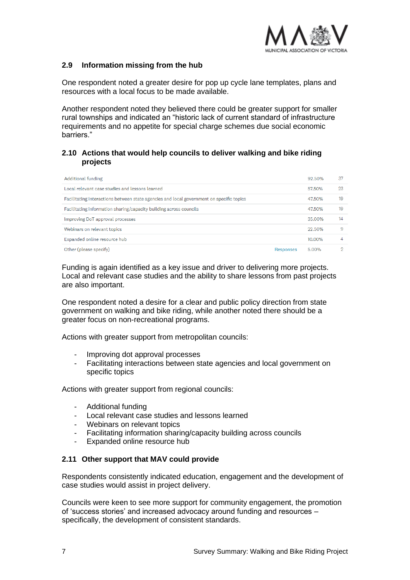

#### **2.9 Information missing from the hub**

One respondent noted a greater desire for pop up cycle lane templates, plans and resources with a local focus to be made available.

Another respondent noted they believed there could be greater support for smaller rural townships and indicated an "historic lack of current standard of infrastructure requirements and no appetite for special charge schemes due social economic barriers."

#### **2.10 Actions that would help councils to deliver walking and bike riding projects**

| Additional funding                                                                       |           | 92.50% | 37 |
|------------------------------------------------------------------------------------------|-----------|--------|----|
| Local relevant case studies and lessons learned.                                         |           | 57.50% | 23 |
| Facilitating interactions between state agencies and local government on specific topics |           | 47.50% | 19 |
| Facilitating information sharing/capacity building across councils                       |           | 47.50% | 19 |
| Improving DoT approval processes                                                         |           | 35.00% | 14 |
| Webinars on relevant topics                                                              |           | 22.50% | 9  |
| Expanded online resource hub                                                             |           | 10.00% |    |
| Other (please specify)                                                                   | Responses | 5.00%  |    |

Funding is again identified as a key issue and driver to delivering more projects. Local and relevant case studies and the ability to share lessons from past projects are also important.

One respondent noted a desire for a clear and public policy direction from state government on walking and bike riding, while another noted there should be a greater focus on non-recreational programs.

Actions with greater support from metropolitan councils:

- Improving dot approval processes
- Facilitating interactions between state agencies and local government on specific topics

Actions with greater support from regional councils:

- Additional funding
- Local relevant case studies and lessons learned
- Webinars on relevant topics
- Facilitating information sharing/capacity building across councils
- Expanded online resource hub

#### **2.11 Other support that MAV could provide**

Respondents consistently indicated education, engagement and the development of case studies would assist in project delivery.

Councils were keen to see more support for community engagement, the promotion of 'success stories' and increased advocacy around funding and resources – specifically, the development of consistent standards.